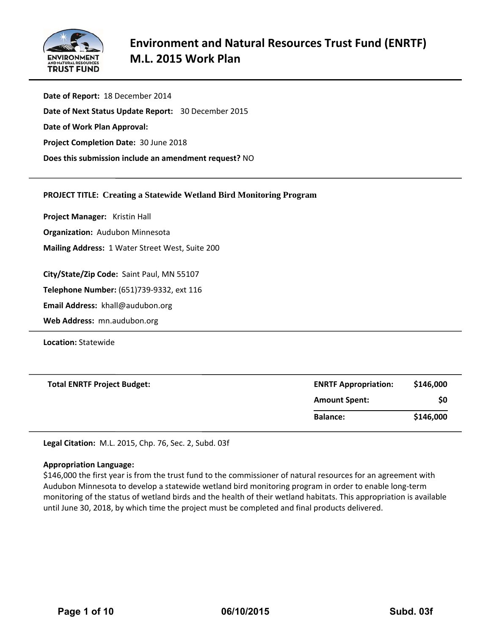

**Date of Report:** 18 December 2014 **Date of Next Status Update Report:**  30 December 2015 **Date of Work Plan Approval: Project Completion Date:** 30 June 2018 **Does this submission include an amendment request?** NO

## **PROJECT TITLE: Creating a Statewide Wetland Bird Monitoring Program**

**Project Manager:**  Kristin Hall

**Organization:** Audubon Minnesota

**Mailing Address:** 1 Water Street West, Suite 200

**City/State/Zip Code:** Saint Paul, MN 55107

**Telephone Number:** (651)739‐9332, ext 116

**Email Address:** khall@audubon.org

**Web Address:** mn.audubon.org

**Location:** Statewide

| <b>Total ENRTF Project Budget:</b> | <b>ENRTF Appropriation:</b> | \$146,000 |
|------------------------------------|-----------------------------|-----------|
|                                    | <b>Amount Spent:</b>        | \$0       |
|                                    | <b>Balance:</b>             | \$146,000 |

**Legal Citation:** M.L. 2015, Chp. 76, Sec. 2, Subd. 03f

#### **Appropriation Language:**

\$146,000 the first year is from the trust fund to the commissioner of natural resources for an agreement with Audubon Minnesota to develop a statewide wetland bird monitoring program in order to enable long‐term monitoring of the status of wetland birds and the health of their wetland habitats. This appropriation is available until June 30, 2018, by which time the project must be completed and final products delivered.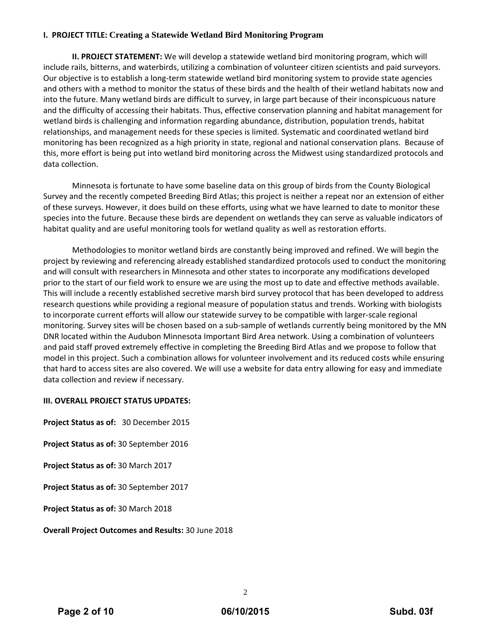# **I. PROJECT TITLE: Creating a Statewide Wetland Bird Monitoring Program**

**II. PROJECT STATEMENT:** We will develop a statewide wetland bird monitoring program, which will include rails, bitterns, and waterbirds, utilizing a combination of volunteer citizen scientists and paid surveyors. Our objective is to establish a long‐term statewide wetland bird monitoring system to provide state agencies and others with a method to monitor the status of these birds and the health of their wetland habitats now and into the future. Many wetland birds are difficult to survey, in large part because of their inconspicuous nature and the difficulty of accessing their habitats. Thus, effective conservation planning and habitat management for wetland birds is challenging and information regarding abundance, distribution, population trends, habitat relationships, and management needs for these species is limited. Systematic and coordinated wetland bird monitoring has been recognized as a high priority in state, regional and national conservation plans. Because of this, more effort is being put into wetland bird monitoring across the Midwest using standardized protocols and data collection.

Minnesota is fortunate to have some baseline data on this group of birds from the County Biological Survey and the recently competed Breeding Bird Atlas; this project is neither a repeat nor an extension of either of these surveys. However, it does build on these efforts, using what we have learned to date to monitor these species into the future. Because these birds are dependent on wetlands they can serve as valuable indicators of habitat quality and are useful monitoring tools for wetland quality as well as restoration efforts.

Methodologies to monitor wetland birds are constantly being improved and refined. We will begin the project by reviewing and referencing already established standardized protocols used to conduct the monitoring and will consult with researchers in Minnesota and other states to incorporate any modifications developed prior to the start of our field work to ensure we are using the most up to date and effective methods available. This will include a recently established secretive marsh bird survey protocol that has been developed to address research questions while providing a regional measure of population status and trends. Working with biologists to incorporate current efforts will allow our statewide survey to be compatible with larger‐scale regional monitoring. Survey sites will be chosen based on a sub‐sample of wetlands currently being monitored by the MN DNR located within the Audubon Minnesota Important Bird Area network. Using a combination of volunteers and paid staff proved extremely effective in completing the Breeding Bird Atlas and we propose to follow that model in this project. Such a combination allows for volunteer involvement and its reduced costs while ensuring that hard to access sites are also covered. We will use a website for data entry allowing for easy and immediate data collection and review if necessary.

## **III. OVERALL PROJECT STATUS UPDATES:**

**Project Status as of:** 30 December 2015 **Project Status as of:** 30 September 2016 **Project Status as of:** 30 March 2017 **Project Status as of:** 30 September 2017 **Project Status as of:** 30 March 2018

**Overall Project Outcomes and Results:** 30 June 2018

2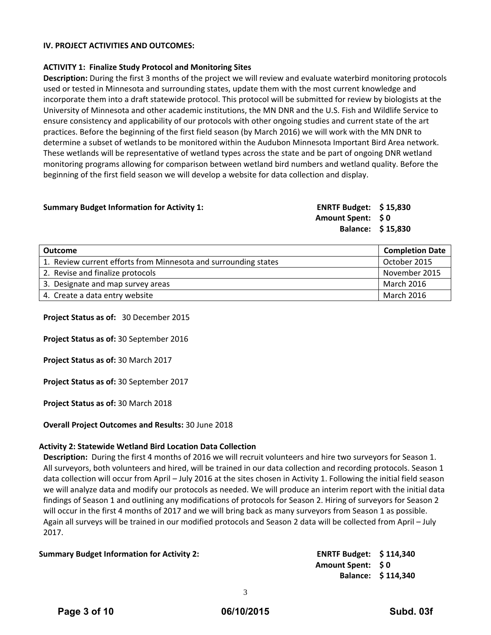### **IV. PROJECT ACTIVITIES AND OUTCOMES:**

### **ACTIVITY 1: Finalize Study Protocol and Monitoring Sites**

**Description:** During the first 3 months of the project we will review and evaluate waterbird monitoring protocols used or tested in Minnesota and surrounding states, update them with the most current knowledge and incorporate them into a draft statewide protocol. This protocol will be submitted for review by biologists at the University of Minnesota and other academic institutions, the MN DNR and the U.S. Fish and Wildlife Service to ensure consistency and applicability of our protocols with other ongoing studies and current state of the art practices. Before the beginning of the first field season (by March 2016) we will work with the MN DNR to determine a subset of wetlands to be monitored within the Audubon Minnesota Important Bird Area network. These wetlands will be representative of wetland types across the state and be part of ongoing DNR wetland monitoring programs allowing for comparison between wetland bird numbers and wetland quality. Before the beginning of the first field season we will develop a website for data collection and display.

### **Summary Budget Information for Activity 1: ENRTF Budget: \$ 15,830**

**Amount Spent: \$ 0 Balance: \$ 15,830**

| Outcome                                                         | <b>Completion Date</b> |
|-----------------------------------------------------------------|------------------------|
| 1. Review current efforts from Minnesota and surrounding states | October 2015           |
| 2. Revise and finalize protocols                                | November 2015          |
| 3. Designate and map survey areas                               | March 2016             |
| 4. Create a data entry website                                  | March 2016             |

**Project Status as of:** 30 December 2015

**Project Status as of:** 30 September 2016

**Project Status as of:** 30 March 2017

**Project Status as of:** 30 September 2017

**Project Status as of:** 30 March 2018

**Overall Project Outcomes and Results:** 30 June 2018

### **Activity 2: Statewide Wetland Bird Location Data Collection**

**Description:** During the first 4 months of 2016 we will recruit volunteers and hire two surveyors for Season 1. All surveyors, both volunteers and hired, will be trained in our data collection and recording protocols. Season 1 data collection will occur from April – July 2016 at the sites chosen in Activity 1. Following the initial field season we will analyze data and modify our protocols as needed. We will produce an interim report with the initial data findings of Season 1 and outlining any modifications of protocols for Season 2. Hiring of surveyors for Season 2 will occur in the first 4 months of 2017 and we will bring back as many surveyors from Season 1 as possible. Again all surveys will be trained in our modified protocols and Season 2 data will be collected from April – July 2017.

**Summary Budget Information for Activity 2: ENRTF Budget: \$ 114,340**

**Amount Spent: \$ 0 Balance: \$ 114,340**

3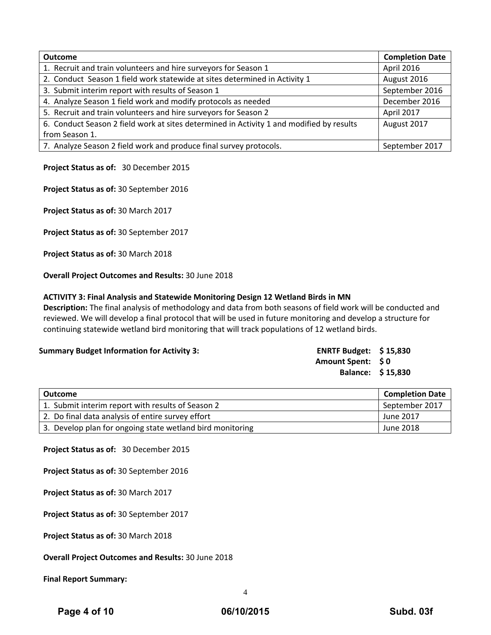| <b>Outcome</b>                                                                           | <b>Completion Date</b> |
|------------------------------------------------------------------------------------------|------------------------|
| 1. Recruit and train volunteers and hire surveyors for Season 1                          | April 2016             |
| 2. Conduct Season 1 field work statewide at sites determined in Activity 1               | August 2016            |
| 3. Submit interim report with results of Season 1                                        | September 2016         |
| 4. Analyze Season 1 field work and modify protocols as needed                            | December 2016          |
| 5. Recruit and train volunteers and hire surveyors for Season 2                          | April 2017             |
| 6. Conduct Season 2 field work at sites determined in Activity 1 and modified by results | August 2017            |
| from Season 1.                                                                           |                        |
| 7. Analyze Season 2 field work and produce final survey protocols.                       | September 2017         |

## **Project Status as of:** 30 December 2015

**Project Status as of:** 30 September 2016

**Project Status as of:** 30 March 2017

**Project Status as of:** 30 September 2017

**Project Status as of:** 30 March 2018

**Overall Project Outcomes and Results:** 30 June 2018

## **ACTIVITY 3: Final Analysis and Statewide Monitoring Design 12 Wetland Birds in MN**

**Description:** The final analysis of methodology and data from both seasons of field work will be conducted and reviewed. We will develop a final protocol that will be used in future monitoring and develop a structure for continuing statewide wetland bird monitoring that will track populations of 12 wetland birds.

### **Summary Budget Information for Activity 3:**

| <b>ENRTF Budget:</b> | \$15,830 |
|----------------------|----------|
| <b>Amount Spent:</b> | SO.      |
| <b>Balance:</b>      | \$15,830 |

| Outcome                                                   | <b>Completion Date</b> |
|-----------------------------------------------------------|------------------------|
| 1. Submit interim report with results of Season 2         | September 2017         |
| 2. Do final data analysis of entire survey effort         | June 2017              |
| 3. Develop plan for ongoing state wetland bird monitoring | June 2018              |

**Project Status as of:** 30 December 2015

**Project Status as of:** 30 September 2016

**Project Status as of:** 30 March 2017

**Project Status as of:** 30 September 2017

**Project Status as of:** 30 March 2018

**Overall Project Outcomes and Results:** 30 June 2018

**Final Report Summary:**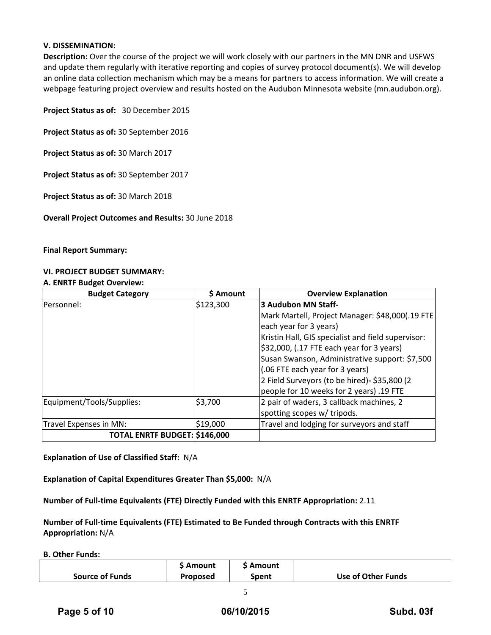## **V. DISSEMINATION:**

**Description:** Over the course of the project we will work closely with our partners in the MN DNR and USFWS and update them regularly with iterative reporting and copies of survey protocol document(s). We will develop an online data collection mechanism which may be a means for partners to access information. We will create a webpage featuring project overview and results hosted on the Audubon Minnesota website (mn.audubon.org).

**Project Status as of:** 30 December 2015

**Project Status as of:** 30 September 2016

**Project Status as of:** 30 March 2017

**Project Status as of:** 30 September 2017

**Project Status as of:** 30 March 2018

**Overall Project Outcomes and Results:** 30 June 2018

**Final Report Summary:**

## **VI. PROJECT BUDGET SUMMARY:**

#### **A. ENRTF Budget Overview:**

| <b>Budget Category</b>        | \$ Amount | <b>Overview Explanation</b>                        |
|-------------------------------|-----------|----------------------------------------------------|
| Personnel:                    | \$123,300 | 3 Audubon MN Staff-                                |
|                               |           | Mark Martell, Project Manager: \$48,000(.19 FTE    |
|                               |           | each year for 3 years)                             |
|                               |           | Kristin Hall, GIS specialist and field supervisor: |
|                               |           | $$32,000$ , (.17 FTE each year for 3 years)        |
|                               |           | Susan Swanson, Administrative support: \$7,500     |
|                               |           | (.06 FTE each year for 3 years)                    |
|                               |           | 2 Field Surveyors (to be hired)- \$35,800 (2       |
|                               |           | people for 10 weeks for 2 years) .19 FTE           |
| Equipment/Tools/Supplies:     | \$3,700   | 2 pair of waders, 3 callback machines, 2           |
|                               |           | spotting scopes w/ tripods.                        |
| Travel Expenses in MN:        | \$19,000  | Travel and lodging for surveyors and staff         |
| TOTAL ENRTF BUDGET: \$146,000 |           |                                                    |

**Explanation of Use of Classified Staff:** N/A

**Explanation of Capital Expenditures Greater Than \$5,000:** N/A

**Number of Full‐time Equivalents (FTE) Directly Funded with this ENRTF Appropriation:** 2.11

**Number of Full‐time Equivalents (FTE) Estimated to Be Funded through Contracts with this ENRTF Appropriation:** N/A

**B. Other Funds:**

|                        | Amount          | Amount |                    |
|------------------------|-----------------|--------|--------------------|
| <b>Source of Funds</b> | <b>Proposed</b> | Spent  | Use of Other Funds |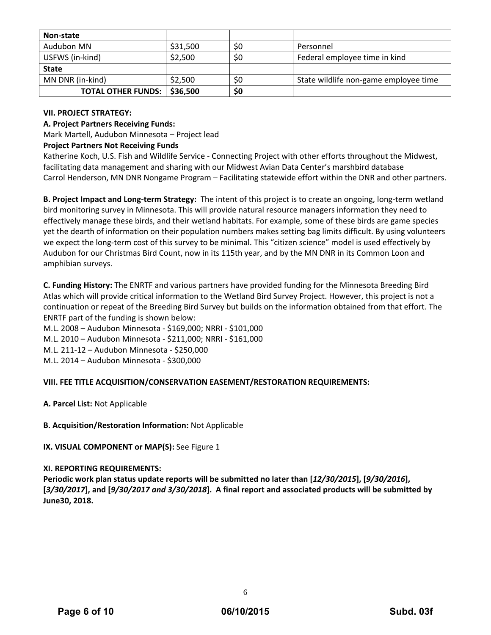| Non-state                 |          |     |                                       |
|---------------------------|----------|-----|---------------------------------------|
| Audubon MN                | \$31,500 | S0  | Personnel                             |
| USFWS (in-kind)           | \$2,500  | \$0 | Federal employee time in kind         |
| <b>State</b>              |          |     |                                       |
| MN DNR (in-kind)          | \$2,500  | \$0 | State wildlife non-game employee time |
| <b>TOTAL OTHER FUNDS:</b> | \$36,500 | \$0 |                                       |

## **VII. PROJECT STRATEGY:**

## **A. Project Partners Receiving Funds:**

Mark Martell, Audubon Minnesota – Project lead

## **Project Partners Not Receiving Funds**

Katherine Koch, U.S. Fish and Wildlife Service ‐ Connecting Project with other efforts throughout the Midwest, facilitating data management and sharing with our Midwest Avian Data Center's marshbird database Carrol Henderson, MN DNR Nongame Program – Facilitating statewide effort within the DNR and other partners.

**B. Project Impact and Long‐term Strategy:** The intent of this project is to create an ongoing, long‐term wetland bird monitoring survey in Minnesota. This will provide natural resource managers information they need to effectively manage these birds, and their wetland habitats. For example, some of these birds are game species yet the dearth of information on their population numbers makes setting bag limits difficult. By using volunteers we expect the long-term cost of this survey to be minimal. This "citizen science" model is used effectively by Audubon for our Christmas Bird Count, now in its 115th year, and by the MN DNR in its Common Loon and amphibian surveys.

**C. Funding History:** The ENRTF and various partners have provided funding for the Minnesota Breeding Bird Atlas which will provide critical information to the Wetland Bird Survey Project. However, this project is not a continuation or repeat of the Breeding Bird Survey but builds on the information obtained from that effort. The ENRTF part of the funding is shown below:

M.L. 2008 – Audubon Minnesota ‐ \$169,000; NRRI ‐ \$101,000

M.L. 2010 – Audubon Minnesota ‐ \$211,000; NRRI ‐ \$161,000

M.L. 211‐12 – Audubon Minnesota ‐ \$250,000

M.L. 2014 – Audubon Minnesota ‐ \$300,000

## **VIII. FEE TITLE ACQUISITION/CONSERVATION EASEMENT/RESTORATION REQUIREMENTS:**

**A. Parcel List:** Not Applicable

## **B. Acquisition/Restoration Information:** Not Applicable

## **IX. VISUAL COMPONENT or MAP(S):** See Figure 1

## **XI. REPORTING REQUIREMENTS:**

Periodic work plan status update reports will be submitted no later than [12/30/2015], [9/30/2016], [3/30/2017], and [9/30/2017 and 3/30/2018]. A final report and associated products will be submitted by **June30, 2018.**

6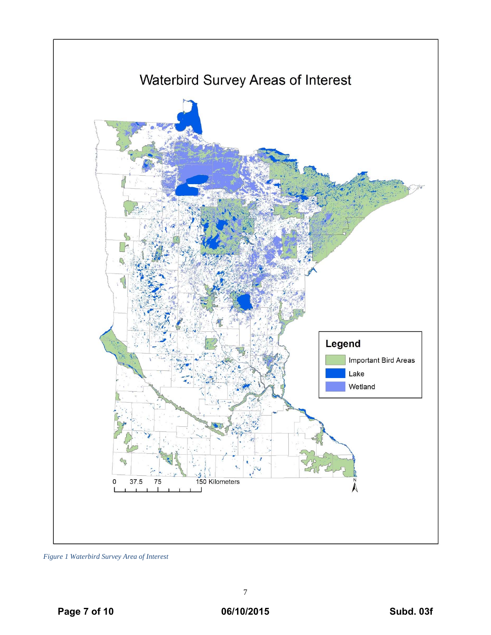

*Figure 1 Waterbird Survey Area of Interest*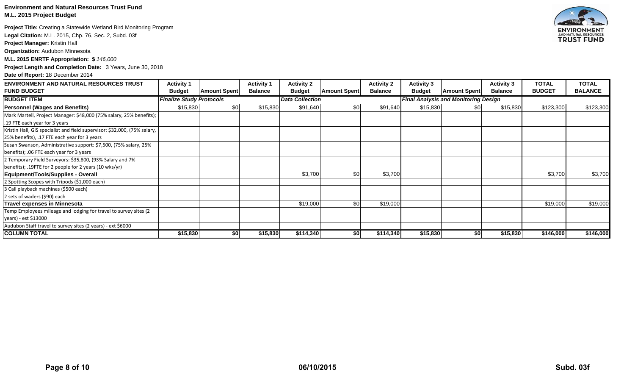### **Environment and Natural Resources Trust Fund M.L. 2015 Project Budget**

**Project Title:** Creating a Statewide Wetland Bird Monitoring Program

**Legal Citation:** M.L. 2015, Chp. 76, Sec. 2, Subd. 03f

**Project Manager:** Kristin Hall

**Organization:** Audubon Minnesota

**M.L. 2015 ENRTF Appropriation: \$** *146,000*

**Project Length and Completion Date:** 3 Years, June 30, 2018

**Date of Report:** 18 December 2014

| <b>ENVIRONMENT AND NATURAL RESOURCES TRUST</b>                                                                            | <b>Activity 1</b>               |                     | <b>Activity 1</b>      | <b>Activity 2</b> |                     | <b>Activity 2</b>                           | <b>Activity 3</b> |                     | <b>Activity 3</b> | TOTAL         | <b>TOTAL</b>   |
|---------------------------------------------------------------------------------------------------------------------------|---------------------------------|---------------------|------------------------|-------------------|---------------------|---------------------------------------------|-------------------|---------------------|-------------------|---------------|----------------|
| <b>FUND BUDGET</b>                                                                                                        | <b>Budget</b>                   | <b>Amount Spent</b> | <b>Balance</b>         | <b>Budget</b>     | <b>Amount Spent</b> | <b>Balance</b>                              | <b>Budget</b>     | <b>Amount Spent</b> | <b>Balance</b>    | <b>BUDGET</b> | <b>BALANCE</b> |
| <b>BUDGET ITEM</b>                                                                                                        | <b>Finalize Study Protocols</b> |                     | <b>Data Collection</b> |                   |                     | <b>Final Analysis and Monitoring Design</b> |                   |                     |                   |               |                |
| <b>Personnel (Wages and Benefits)</b>                                                                                     | \$15,830                        | \$0                 | \$15,830               | \$91,640          | \$0 <sub>1</sub>    | \$91,640                                    | \$15,830          | \$0                 | \$15,830          | \$123,300     | \$123,300      |
| Mark Martell, Project Manager: \$48,000 (75% salary, 25% benefits);                                                       |                                 |                     |                        |                   |                     |                                             |                   |                     |                   |               |                |
| .19 FTE each year for 3 years                                                                                             |                                 |                     |                        |                   |                     |                                             |                   |                     |                   |               |                |
| Kristin Hall, GIS specialist and field supervisor: \$32,000, (75% salary,<br>25% benefits), .17 FTE each year for 3 years |                                 |                     |                        |                   |                     |                                             |                   |                     |                   |               |                |
| Susan Swanson, Administrative support: \$7,500, (75% salary, 25%                                                          |                                 |                     |                        |                   |                     |                                             |                   |                     |                   |               |                |
| benefits); .06 FTE each year for 3 years                                                                                  |                                 |                     |                        |                   |                     |                                             |                   |                     |                   |               |                |
| 2 Temporary Field Surveyors: \$35,800, (93% Salary and 7%                                                                 |                                 |                     |                        |                   |                     |                                             |                   |                     |                   |               |                |
| benefits); .19FTE for 2 people for 2 years (10 wks/yr)                                                                    |                                 |                     |                        |                   |                     |                                             |                   |                     |                   |               |                |
| Equipment/Tools/Supplies - Overall                                                                                        |                                 |                     |                        | \$3,700           | $\sqrt{50}$         | \$3,700                                     |                   |                     |                   | \$3,700       | \$3,700        |
| 2 Spotting Scopes with Tripods (\$1,000 each)                                                                             |                                 |                     |                        |                   |                     |                                             |                   |                     |                   |               |                |
| 3 Call playback machines (\$500 each)                                                                                     |                                 |                     |                        |                   |                     |                                             |                   |                     |                   |               |                |
| 2 sets of waders (\$90) each                                                                                              |                                 |                     |                        |                   |                     |                                             |                   |                     |                   |               |                |
| Travel expenses in Minnesota                                                                                              |                                 |                     |                        | \$19,000          | $\sqrt{50}$         | \$19,000                                    |                   |                     |                   | \$19,000      | \$19,000       |
| Temp Employees mileage and lodging for travel to survey sites (2                                                          |                                 |                     |                        |                   |                     |                                             |                   |                     |                   |               |                |
| years) - est \$13000                                                                                                      |                                 |                     |                        |                   |                     |                                             |                   |                     |                   |               |                |
| Audubon Staff travel to survey sites (2 years) - ext \$6000                                                               |                                 |                     |                        |                   |                     |                                             |                   |                     |                   |               |                |
| <b>COLUMN TOTAL</b>                                                                                                       | \$15,830                        | \$0                 | \$15,830               | \$114,340         | \$0                 | \$114,340                                   | \$15,830          | \$0                 | \$15,830          | \$146,000     | \$146,000      |